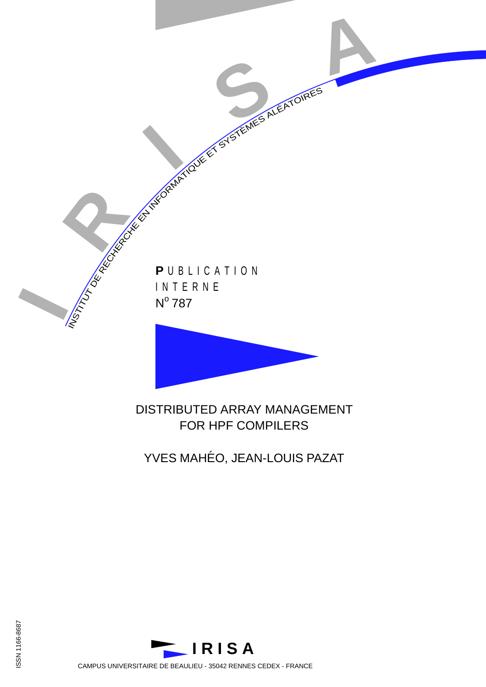

DISTRIBUTED ARRAY MANAGEMENT FOR HPF COMPILERS

YVES MAHÉO, JEAN-LOUIS PAZAT





CAMPUS UNIVERSITAIRE DE BEAULIEU - 35042 RENNES CEDEX - FRANCE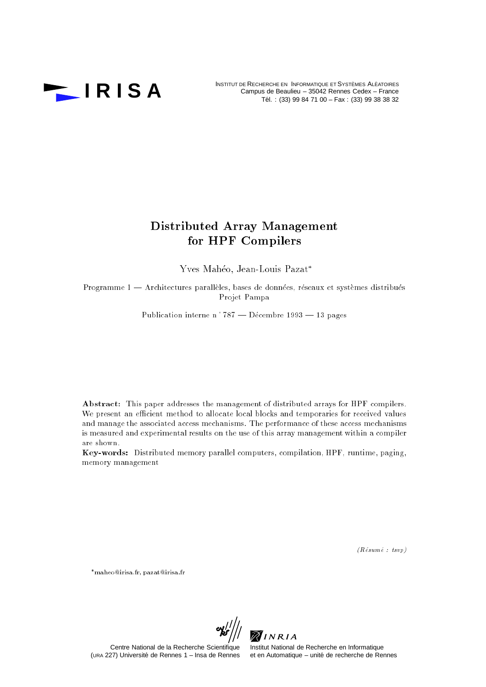

INSTITUT DE RECHERCHE EN INFORMATIQUE ET SYSTÈMES ALÉATOIRES<br> **I R I S A** Campus de Beaulieu – 35042 Rennes Cedex – France Campus de Beaulieu – 35042 Rennes Cedex – France Tél. : (33) 99 84 71 00 - Fax : (33) 99 38 38 32

# Distributed Array Management for HPF Compilers

Yves Mahéo, Jean-Louis Pazat\*

Programme 1 - Architectures parallèles, bases de données, réseaux et systèmes distribués Projet Pampa

Publication interne n°787 — Décembre 1993 — 13 pages

Abstract: This paper addresses the management of distributed arrays for HPF compilers. We present an efficient method to allocate local blocks and temporaries for received values and manage the associated access mechanisms. The performance of these access mechanisms is measured and experimental results on the use of this array management within a compiler are shown.

Key-words: Distributed memory parallel computers, compilation, HPF, runtime, paging, memory management

 $(R \acute{e} sum \acute{e} : t s v p)$ 

maheo@irisa.fr, pazat@irisa.fr



(URA 227) Université de Rennes 1 – Insa de Rennes

Centre National de la Recherche Scientifique Institut National de Recherche en Informatique<br>27) Université de Rennes 1 – Insa de Rennes et en Automatique – unité de recherche de Rennes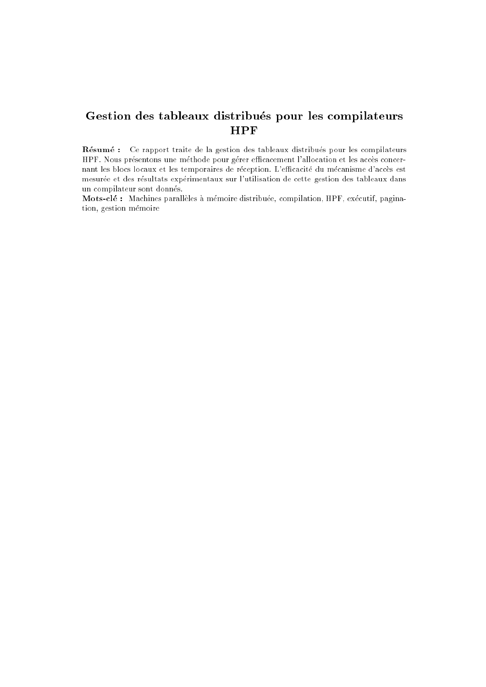# Gestion des tableaux distribués pour les compilateurs HPF

Résumé : Ce rapport traite de la gestion des tableaux distribués pour les compilateurs HPF. Nous présentons une méthode pour gérer efficacement l'allocation et les accès concernant les blocs locaux et les temporaires de réception. L'efficacité du mécanisme d'accès est mesurée et des résultats expérimentaux sur l'utilisation de cette gestion des tableaux dans un compilateur sont donnes.

Mots-clé : Machines parallèles à mémoire distribuée, compilation, HPF, exécutif, pagination, gestion mémoire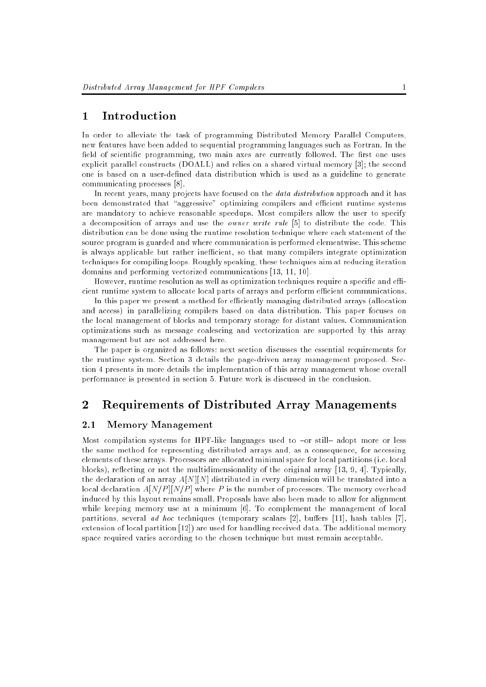# 1 Introduction

In order to alleviate the task of programming Distributed Memory Parallel Computers, new features have been added to sequential programming languages such as Fortran. In the field of scientific programming, two main axes are currently followed. The first one uses explicit parallel constructs (DOALL) and relies on a shared virtual memory [3]; the second one is based on a user-defined data distribution which is used as a guideline to generate communicating processes [8].

In recent years, many projects have focused on the *data distribution* approach and it has been demonstrated that "aggressive" optimizing compilers and efficient runtime systems are mandatory to achieve reasonable speedups. Most compilers allow the user to specify a decomposition of arrays and use the owner write rule [5] to distribute the code. This distribution can be done using the runtime resolution technique where each statement of the source program is guarded and where communication is performed elementwise. This scheme is always applicable but rather inefficient, so that many compilers integrate optimization techniques for compiling loops. Roughly speaking, these techniques aim at reducing iteration domains and performing vectorized communications [13, 11, 10].

However, runtime resolution as well as optimization techniques require a specific and efficient runtime system to allocate local parts of arrays and perform efficient communications.

In this paper we present a method for efficiently managing distributed arrays (allocation and access) in parallelizing compilers based on data distribution. This paper focuses on the local management of blocks and temporary storage for distant values. Communication optimizations such as message coalescing and vectorization are supported by this array management but are not addressed here.

The paper is organized as follows: next section discusses the essential requirements for the runtime system. Section 3 details the page-driven array management proposed. Section 4 presents in more details the implementation of this array management whose overall performance is presented in section 5. Future work is discussed in the conclusion.

# 2 Requirements of Distributed Array Managements

# 2.1 Memory Management

Most compilation systems for HPF-like languages used to  $-$ or still $-$  adopt more or less the same method for representing distributed arrays and, as a consequence, for accessing elements of these arrays. Processors are allocated minimal space for local partitions (i.e. local blocks), reflecting or not the multidimensionality of the original array [13, 9, 4]. Typically, the declaration of an array  $A[N][N]$  distributed in every dimension will be translated into a local declaration  $A[N/P] [N/P ]$  where P is the number of processors. The memory overhead induced by this layout remains small. Proposals have also been made to allow for alignment while keeping memory use at a minimum [6]. To complement the management of local partitions, several ad hoc techniques (temporary scalars  $[2]$ , buffers  $[11]$ , hash tables  $[7]$ , extension of local partition [12]) are used for handling received data. The additional memory space required varies according to the chosen technique but must remain acceptable.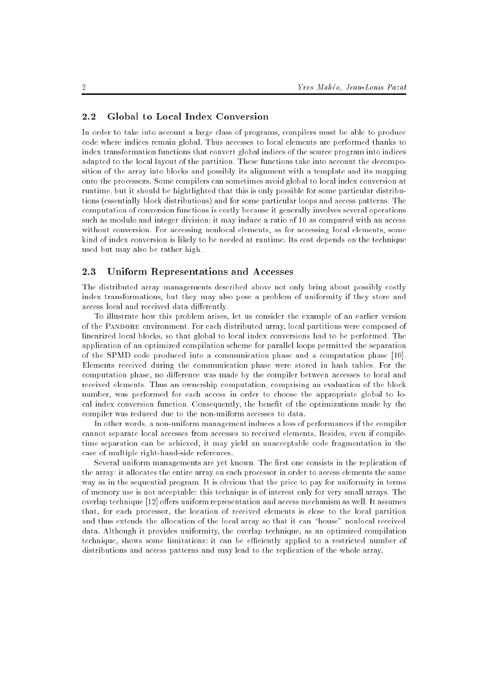#### 2.2 Global to Local Index Conversion

In order to take into account a large class of programs, compilers must be able to produce code where indices remain global. Thus accesses to local elements are performed thanks to index transformation functions that convert global indices of the source program into indices adapted to the local layout of the partition. These functions take into account the decomposition of the array into blocks and possibly its alignment with a template and its mapping onto the processors. Some compilers can sometimes avoid global to local index conversion at runtime, but it should be hightlighted that this is only possible for some particular distributions (essentially block distributions) and for some particular loops and access patterns. The computation of conversion functions is costly because it generally involves several operations such as modulo and integer division; it may induce a ratio of 10 as compared with an access without conversion. For accessing nonlocal elements, as for accessing local elements, some kind of index conversion is likely to be needed at runtime. Its cost depends on the technique used but may also be rather high.

# 2.3 Uniform Representations and Accesses

The distributed array managements described above not only bring about possibly costly index transformations, but they may also pose a problem of uniformity if they store and access local and received data differently.

To illustrate how this problem arises, let us consider the example of an earlier version of the Pandore environment. For each distributed array, local partitions were composed of linearized local blocks, so that global to local index conversions had to be performed. The application of an optimized compilation scheme for parallel loops permitted the separation of the SPMD code produced into a communication phase and a computation phase [10]. Elements received during the communication phase were stored in hash tables. For the computation phase, no difference was made by the compiler between accesses to local and received elements. Thus an ownership computation, comprising an evaluation of the block number, was performed for each access in order to choose the appropriate global to local index conversion function. Consequently, the benet of the optimizations made by the compiler was reduced due to the non-uniform accesses to data.

In other words, a non-uniform management induces a loss of performances if the compiler cannot separate local accesses from accesses to received elements. Besides, even if compiletime separation can be achieved, it may yield an unacceptable code fragmentation in the case of multiple right-hand-side references.

Several uniform managements are yet known. The first one consists in the replication of the array: it allocates the entire array on each processor in order to access elements the same way as in the sequential program. It is obvious that the price to pay for uniformity in terms of memory use is not acceptable: this technique is of interest only for very small arrays. The overlap technique [12] offers uniform representation and access mechanism as well. It assumes that, for each processor, the location of received elements is close to the local partition and thus extends the allocation of the local array so that it can "house" nonlocal received data. Although it provides uniformity, the overlap technique, as an optimized compilation technique, shows some limitations: it can be efficiently applied to a restricted number of distributions and access patterns and may lead to the replication of the whole array.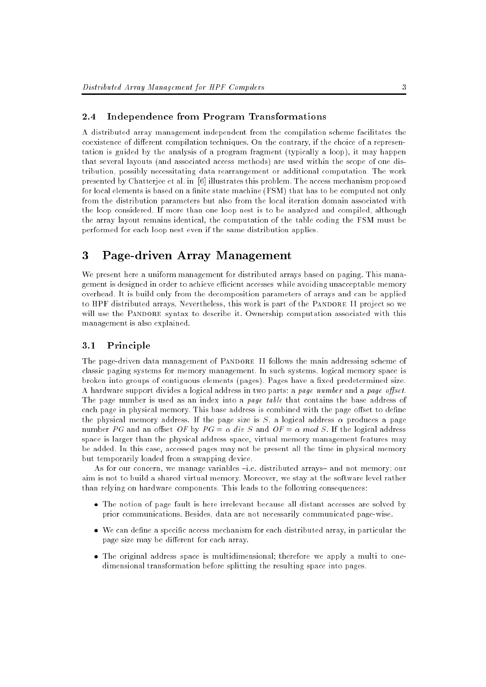### 2.4 Independence from Program Transformations

A distributed array management independent from the compilation scheme facilitates the coexistence of different compilation techniques. On the contrary, if the choice of a representation is guided by the analysis of a program fragment (typically a loop), it may happen that several layouts (and associated access methods) are used within the scope of one distribution, possibly necessitating data rearrangement or additional computation. The work presented by Chatterjee et al. in [6] illustrates this problem. The access mechanism proposed for local elements is based on a finite state machine  $(FSM)$  that has to be computed not only from the distribution parameters but also from the local iteration domain associated with the loop considered. If more than one loop nest is to be analyzed and compiled, although the array layout remains identical, the computation of the table coding the FSM must be performed for each loop nest even if the same distribution applies.

#### 3 Page-driven Array Management

We present here a uniform management for distributed arrays based on paging. This management is designed in order to achieve efficient accesses while avoiding unacceptable memory overhead. It is build only from the decomposition parameters of arrays and can be applied to HPF distributed arrays. Nevertheless, this work is part of the PANDORE II project so we will use the PANDORE syntax to describe it. Ownership computation associated with this management is also explained.

# 3.1 Principle

The page-driven data management of PANDORE II follows the main addressing scheme of classic paging systems for memory management. In such systems, logical memory space is broken into groups of contiguous elements (pages). Pages have a fixed predetermined size. A hardware support divides a logical address in two parts: a page number and a page offset. The page number is used as an index into a *page table* that contains the base address of each page in physical memory. This base address is combined with the page offset to define the physical memory address. If the page size is  $S$ , a logical address  $\alpha$  produces a page number PG and an offset OF by  $PG = \alpha$  div S and  $OF = \alpha$  mod S. If the logical address space is larger than the physical address space, virtual memory management features may be added. In this case, accessed pages may not be present all the time in physical memory but temporarily loaded from a swapping device.

As for our concern, we manage variables  $-i.e.$  distributed arrays- and not memory; our aim is not to build a shared virtual memory. Moreover, we stay at the software level rather than relying on hardware components. This leads to the following consequences:

- The notion of page fault is here irrelevant because all distant accesses are solved by prior communications. Besides, data are not necessarily communicated page-wise.
- we can desire a specific access mechanism for each distributed array, in particular the page size may be different for each array.
- The original address space is multidimensional; therefore we apply a multi to onedimensional transformation before splitting the resulting space into pages.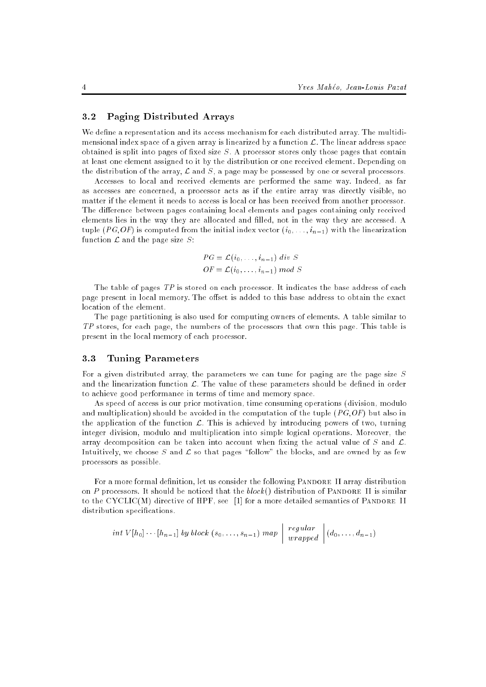### 3.2 Paging Distributed Arrays

We define a representation and its access mechanism for each distributed array. The multidimensional index space of a given array is linearized by a function  $\mathcal{L}$ . The linear address space obtained is split into pages of fixed size  $S$ . A processor stores only those pages that contain at least one element assigned to it by the distribution or one received element. Depending on the distribution of the array,  $\mathcal L$  and  $S$ , a page may be possessed by one or several processors.

Accesses to local and received elements are performed the same way. Indeed, as far as accesses are concerned, a processor acts as if the entire array was directly visible, no matter if the element it needs to access is local or has been received from another processor. The difference between pages containing local elements and pages containing only received elements lies in the way they are allocated and lled, not in the way they are accessed. A tuple (PG,OF) is computed from the initial index vector  $(i_0, \ldots, i_{n-1})$  with the linearization function  $\mathcal L$  and the page size  $S$ :

$$
PG = \mathcal{L}(i_0, \ldots, i_{n-1}) \ div S
$$
  
OF =  $\mathcal{L}(i_0, \ldots, i_{n-1}) \ mod S$ 

The table of pages TP is stored on each processor. It indicates the base address of each page present in local memory. The offset is added to this base address to obtain the exact location of the element.

The page partitioning is also used for computing owners of elements. A table similar to TP stores, for each page, the numbers of the processors that own this page. This table is present in the local memory of each processor.

#### $3.3$ Tuning Parameters

For a given distributed array, the parameters we can tune for paging are the page size S and the linearization function  $\mathcal{L}$ . The value of these parameters should be defined in order to achieve good performance in terms of time and memory space.

As speed of access is our prior motivation, time consuming operations (division, modulo and multiplication) should be avoided in the computation of the tuple  $(PG,OF)$  but also in the application of the function  $\mathcal{L}$ . This is achieved by introducing powers of two, turning integer division, modulo and multiplication into simple logical operations. Moreover, the array decomposition can be taken into account when fixing the actual value of  $S$  and  $\mathcal{L}$ . Intuitively, we choose S and  $\mathcal L$  so that pages "follow" the blocks, and are owned by as few processors as possible.

For a more formal definition, let us consider the following PANDORE II array distribution on P processors. It should be noticed that the  $block()$  distribution of PANDORE II is similar to the CYCLIC(M) directive of  $HPF$ , see [1] for a more detailed semantics of PANDORE II distribution specifications.

$$
int V[h_0] \cdots [h_{n-1}] by block (s_0, \ldots, s_{n-1}) map \bigg| \begin{array}{c} regular \\ wrapped \end{array} \bigg| (d_0, \ldots, d_{n-1})
$$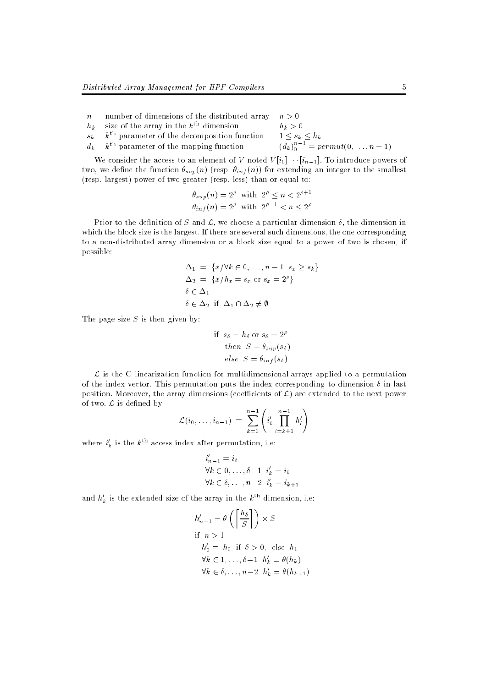- n number of dimensions of the distributed array  $n > 0$
- $h_k$  size of the array in the  $k^{\text{th}}$  dimension  $h_k > 0$
- $s_k$  k<sup>th</sup> parameter of the decomposition function
- $d_k$  k<sup>th</sup> parameter of the mapping function

We consider the access to an element of V noted  $V[i_0] \cdots [i_{n-1}]$ . To introduce powers of two, we define the function  $\theta_{sup}(n)$  (resp.  $\theta_{inf}(n)$ ) for extending an integer to the smallest (resp. largest) power of two greater (resp. less) than or equal to:

$$
\theta_{sup}(n) = 2^{\rho} \text{ with } 2^{\rho} \le n < 2^{\rho+1}
$$
  

$$
\theta_{inf}(n) = 2^{\rho} \text{ with } 2^{\rho-1} < n \le 2^{\rho}
$$

Prior to the definition of S and  $\mathcal{L}$ , we choose a particular dimension  $\delta$ , the dimension in which the block size is the largest. If there are several such dimensions, the one corresponding to a non-distributed array dimension or a block size equal to a power of two is chosen, if possible:

$$
\Delta_1 = \{x/\forall k \in 0, ..., n-1 \ s_x \ge s_k\}
$$
  
\n
$$
\Delta_2 = \{x/h_x = s_x \text{ or } s_x = 2^\rho\}
$$
  
\n
$$
\delta \in \Delta_1
$$
  
\n
$$
\delta \in \Delta_2 \text{ if } \Delta_1 \cap \Delta_2 \neq \emptyset
$$

The page size  $S$  is then given by:

if 
$$
s_{\delta} = h_{\delta}
$$
 or  $s_{\delta} = 2^{\rho}$   
then  $S = \theta_{sup}(s_{\delta})$   
else  $S = \theta_{inf}(s_{\delta})$ 

L is the C linearization function for multidimensional arrays applied to a permutation of the index vector. This permutation puts the index corresponding to dimension  $\delta$  in last position. Moreover, the array dimensions (coefficients of  $\mathcal{L}$ ) are extended to the next power of two.  $\mathcal L$  is defined by

$$
\mathcal{L}(i_0,\ldots,i_{n-1}) = \sum_{k=0}^{n-1} \left( i'_k \prod_{l=k+1}^{n-1} h'_l \right)
$$

where  $i'_{k}$  is the  $k^{\text{th}}$  access index after permutation, i.e:

$$
i'_{n-1} = i_{\delta}
$$
  
\n
$$
\forall k \in 0, \dots, \delta-1 \quad i'_{k} = i_{k}
$$
  
\n
$$
\forall k \in \delta, \dots, n-2 \quad i'_{k} = i_{k+1}
$$

and  $h'_{k}$  is the extended size of the array in the  $k^{\text{th}}$  dimension, i.e:

$$
h'_{n-1} = \theta\left(\left\lceil \frac{h_{\delta}}{S} \right\rceil\right) \times S
$$
  
if  $n > 1$   
 $h'_{0} = h_{0}$  if  $\delta > 0$ , else  $h_{1}$   
 $\forall k \in 1, ..., \delta - 1$   $h'_{k} = \theta(h_{k})$   
 $\forall k \in \delta, ..., n-2$   $h'_{k} = \theta(h_{k+1})$ 

 $n^{n-1}_{0} = permut(0, \ldots, n-1)$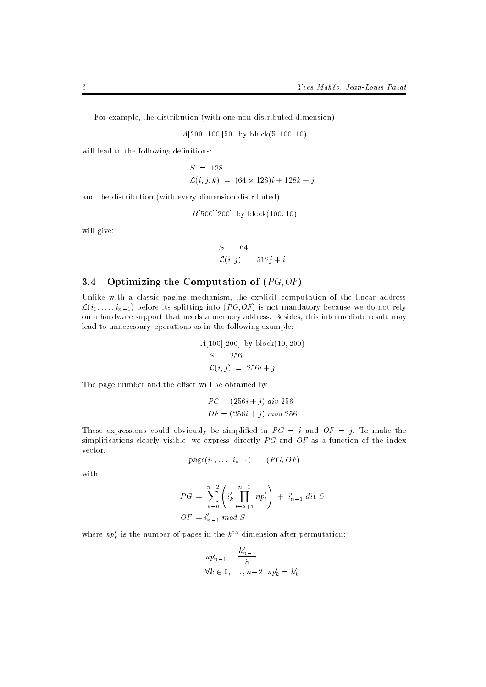For example, the distribution (with one non-distributed dimension)

 $A[200][100][50]$  by block $(5, 100, 10)$ 

will lead to the following definitions:

$$
S = 128
$$
  
\n
$$
\mathcal{L}(i, j, k) = (64 \times 128)i + 128k + j
$$

and the distribution (with every dimension distributed)

 $B[500][200]$  by block(100, 10)

will give:

$$
S = 64
$$
  

$$
\mathcal{L}(i, j) = 512j + i
$$

# 3.4 Optimizing the Computation of  $(PG, OF)$

Unlike with a classic paging mechanism, the explicit computation of the linear address  $\mathcal{L}(i_0, \ldots, i_{n-1})$  before its splitting into  $(PG, OF)$  is not mandatory because we do not rely on a hardware support that needs a memory address. Besides, this intermediate result may lead to unnecessary operations as in the following example:

$$
A[100][200] by block(10, 200)
$$
  

$$
S = 256
$$
  

$$
\mathcal{L}(i, j) = 256i + j
$$

The page number and the offset will be obtained by

$$
PG = (256i + j) \ div 256
$$

$$
OF = (256i + j) \ mod 256
$$

These expressions could obviously be simplified in  $PG = i$  and  $OF = j$ . To make the simplifications clearly visible, we express directly  $PG$  and  $OF$  as a function of the index vector.

$$
page(i_0, \ldots, i_{n-1}) = (PG, OF)
$$

with

$$
PG = \sum_{k=0}^{n-2} \left( i'_k \prod_{l=k+1}^{n-1} n p'_l \right) + i'_{n-1} \, div \, S
$$
  

$$
OF = i'_{n-1} \, mod \, S
$$

where  $np'_k$  is the number of pages in the  $k^{\text{th}}$  dimension after permutation:

$$
np'_{n-1} = \frac{h'_{n-1}}{S}
$$
  

$$
\forall k \in 0, \dots, n-2 \quad np'_k = h'_k
$$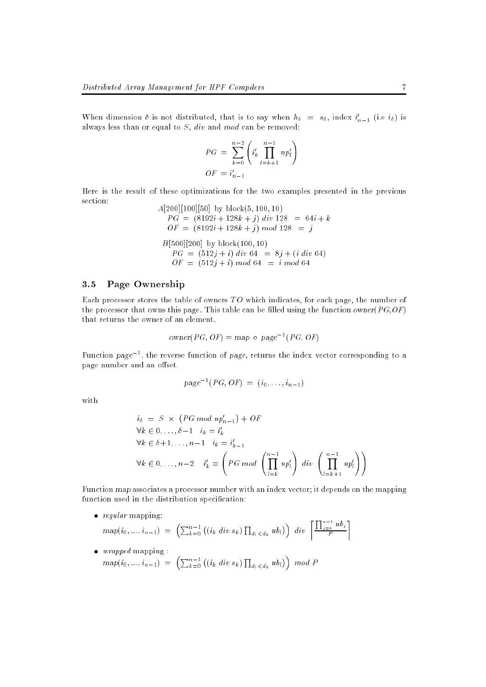when dimension *o* is not distributed, that is to say when  $n_{\delta} = s_{\delta}$ , index  $i_{n-1}$  (i.e  $i_{\delta}$ ) is always less than or equal to  $S$ ,  $div$  and  $mod$  can be removed:

$$
PG = \sum_{k=0}^{n-2} \left( i'_k \prod_{l=k+1}^{n-1} n p'_l \right)
$$
  

$$
OF = i'_{n-1}
$$

Here is the result of these optimizations for the two examples presented in the previous section:  $\frac{1}{2}$ 

$$
A[200][100][50] \text{ by block}(5, 100, 10)
$$
  
\n
$$
PG = (8192i + 128k + j) \text{ div } 128 = 64i + k
$$
  
\n
$$
OF = (8192i + 128k + j) \text{ mod } 128 = j
$$
  
\n
$$
B[500][200] \text{ by block}(100, 10)
$$
  
\n
$$
PG = (512j + i) \text{ div } 64 = 8j + (i \text{ div } 64)
$$
  
\n
$$
OF = (512j + i) \text{ mod } 64 = i \text{ mod } 64
$$

## 3.5 Page Ownership

Each processor stores the table of owners  $TO$  which indicates, for each page, the number of the processor that owns this page. This table can be filled using the function owner( $PG, OF$ ) that returns the owner of an element.

$$
owner(PG, OF) = map \circ page^{-1}(PG, OF)
$$

Function  $page^{-1}$ , the reverse function of page, returns the index vector corresponding to a page number and an offset.

$$
page^{-1}(PG, OF) = (i_0, \ldots, i_{n-1})
$$

with

$$
i_{\delta} = S \times (PG \mod np'_{n-1}) + OF
$$
  
\n
$$
\forall k \in 0, ..., \delta-1 \quad i_{k} = i'_{k}
$$
  
\n
$$
\forall k \in \delta+1, ..., n-1 \quad i_{k} = i'_{k-1}
$$
  
\n
$$
\forall k \in 0, ..., n-2 \quad i'_{k} = \left(PG \mod \left(\prod_{l=k}^{n-1} np'_{l}\right) \right) \quad \text{div} \left(\prod_{l=k+1}^{n-1} np'_{l}\right)
$$

Function map associates a processor number with an index vector; it depends on the mapping function used in the distribution specification:

- 1

regular manpung: proceeding:

$$
map(i_0, ..., i_{n-1}) = \left( \sum_{k=0}^{n-1} \left( (i_k \ div s_k) \prod_{d_i < d_k} nb_i \right) \right) \ div \left[ \frac{\prod_{j=0}^{n-1} nb_j}{P} \right]
$$

wrapping mapping in the property of the second second second second second second second second second second s  $map(i_0, ..., i_{n-1}) = \left( \sum_{k=0}^{n-1} ((i_k \ div s_k) \prod_{d_i < d_k} nb_i \right)$  $\lambda$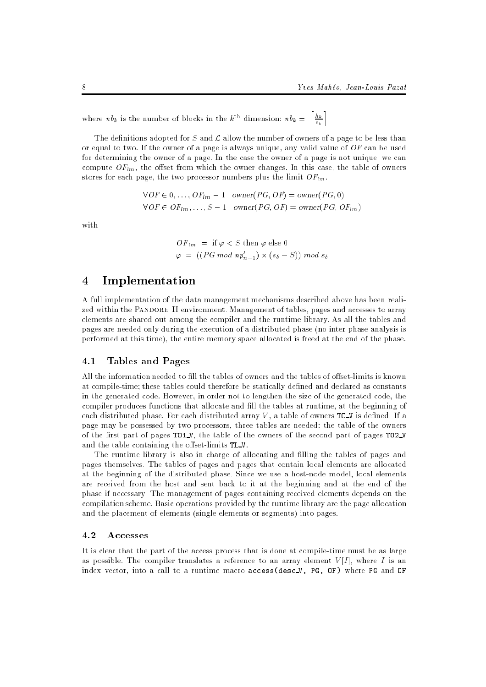where  $nb_k$  is the number of blocks in the  $k^{\text{th}}$  dimension:  $nb_k = \left\lceil \frac{h_k}{s_k} \right\rceil$ <sup>m</sup>

The definitions adopted for  $S$  and  $\mathcal L$  allow the number of owners of a page to be less than or equal to two. If the owner of a page is always unique, any valid value of  $OF$  can be used for determining the owner of a page. In the case the owner of a page is not unique, we can compute  $OF_{lm}$ , the offset from which the owner changes. In this case, the table of owners stores for each page, the two processor numbers plus the limit  $OF_{lm}$ .

$$
\forall OF \in 0, ..., OF_{lm} - 1 \quad owner(PG, OF) = owner(PG, 0)
$$

$$
\forall OF \in OF_{lm}, ..., S - 1 \quad owner(PG, OF) = owner(PG, OF_{lm})
$$

with

$$
OF_{lm} = \text{if } \varphi < S \text{ then } \varphi \text{ else } 0
$$
\n
$$
\varphi = ((PG \text{ mod } np'_{n-1}) \times (s_{\delta} - S)) \text{ mod } s_{\delta}
$$

# 4 Implementation

A full implementation of the data management mechanisms described above has been realized within the PANDORE II environment. Management of tables, pages and accesses to array elements are shared out among the compiler and the runtime library. As all the tables and pages are needed only during the execution of a distributed phase (no inter-phase analysis is performed at this time), the entire memory space allocated is freed at the end of the phase.

# 4.1 Tables and Pages

All the information needed to fill the tables of owners and the tables of offset-limits is known at compile-time; these tables could therefore be statically defined and declared as constants in the generated code. However, in order not to lengthen the size of the generated code, the compiler produces functions that allocate and fill the tables at runtime, at the beginning of each distributed phase. For each distributed array  $V$ , a table of owners TO\_V is defined. If a page may be possessed by two processors, three tables are needed: the table of the owners of the first part of pages TO1\_V, the table of the owners of the second part of pages TO2\_V and the table containing the offset-limits  $TL_v$ .

The runtime library is also in charge of allocating and filling the tables of pages and pages themselves. The tables of pages and pages that contain local elements are allocated at the beginning of the distributed phase. Since we use a host-node model, local elements are received from the host and sent back to it at the beginning and at the end of the phase if necessary. The management of pages containing received elements depends on the compilation scheme. Basic operations provided by the runtime library are the page allocation and the placement of elements (single elements or segments) into pages.

### 4.2 Accesses

It is clear that the part of the access process that is done at compile-time must be as large as possible. The compiler translates a reference to an array element  $V[I]$ , where I is an index vector, into a call to a runtime macro access(desc V, PG, OF) where PG and OF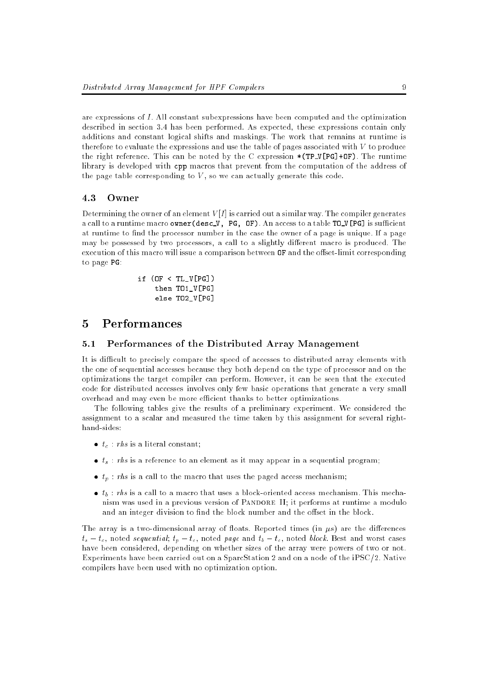are expressions of I. All constant subexpressions have been computed and the optimization described in section 3.4 has been performed. As expected, these expressions contain only additions and constant logical shifts and maskings. The work that remains at runtime is therefore to evaluate the expressions and use the table of pages associated with V to produce the right reference. This can be noted by the C expression \*(TP\_V[PG]+OF). The runtime library is developed with cpp macros that prevent from the computation of the address of the page table corresponding to  $V$ , so we can actually generate this code.

### 4.3 Owner

Determining the owner of an element  $V[I]$  is carried out a similar way. The compiler generates a call to a runtime macro owner(desc V, PG, OF). An access to a table  $TO_V[PG]$  is sufficient at runtime to find the processor number in the case the owner of a page is unique. If a page may be possessed by two processors, a call to a slightly different macro is produced. The execution of this macro will issue a comparison between  $\mathbf{0}$  F and the offset-limit corresponding to page PG:

> if (OF <sup>&</sup>lt; TL\_V[PG]) then TO1\_V[PG] else TO2\_V[PG]

#### $\overline{5}$ Performances

#### 5.1 Performances of the Distributed Array Management  $5.1$

It is difficult to precisely compare the speed of accesses to distributed array elements with the one of sequential accesses because they both depend on the type of processor and on the optimizations the target compiler can perform. However, it can be seen that the executed code for distributed accesses involves only few basic operations that generate a very small overhead and may even be more efficient thanks to better optimizations.

The following tables give the results of a preliminary experiment. We considered the assignment to a scalar and measured the time taken by this assignment for several righthand-sides:

- tc : rhs is a literal constant;
- ts : rhs is a reference to an element as it may appear in a sequential program;
- $t_p$  reflective macro that the macro that uses the page  $\mu$  and the macro that uses  $\mu$
- $t_{\rm b}$  : rhs is a call to a macro that uses a block-oriented access mechanism. This mechanism. This mecha nism was used in a previous version of PANDORE II; it performs at runtime a modulo and an integer division to find the block number and the offset in the block.

The array is a two-dimensional array of floats. Reported times (in  $\mu s$ ) are the differences  $t_s - t_c$ , noted sequential;  $t_p - t_c$ , noted page and  $t_b - t_c$ , noted block. Best and worst cases have been considered, depending on whether sizes of the array were powers of two or not. Experiments have been carried out on a SparcStation 2 and on a node of the iPSC/2. Native compilers have been used with no optimization option.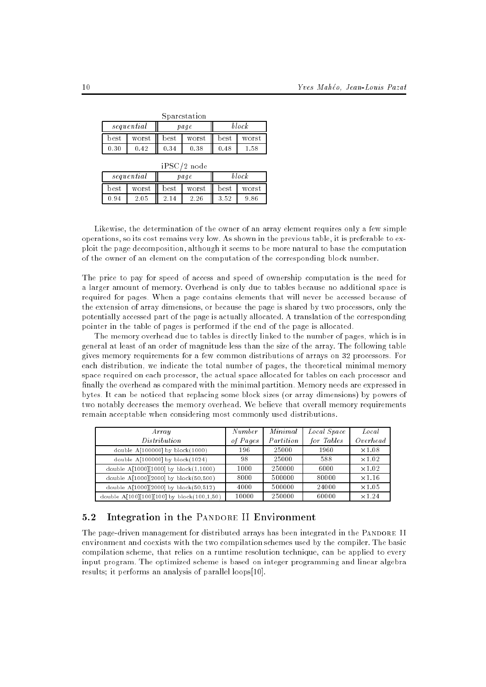| Sparcstation |       |                    |       |                    |       |  |  |  |
|--------------|-------|--------------------|-------|--------------------|-------|--|--|--|
| sequential   |       | paqe               |       | block              |       |  |  |  |
| best         | worst | $_{\mathrm{best}}$ | worst | $_{\mathrm{best}}$ | worst |  |  |  |
| 0.30         | 0.42  | 0.34               | 0.38  | 0.48               | 1.58  |  |  |  |
| iPSC/2 node  |       |                    |       |                    |       |  |  |  |
| sequential   |       | page               |       | block              |       |  |  |  |
| best         | worst | best               | worst | best               | worst |  |  |  |

0.94 2.05 2.26 2.26 3.526 3.526 9.946

2.26

Likewise, the determination of the owner of an array element requires only a few simple operations, so its cost remains very low. As shown in the previous table, it is preferable to exploit the page decomposition, although it seems to be more natural to base the computation of the owner of an element on the computation of the corresponding block number.

 $986$ 

The price to pay for speed of access and speed of ownership computation is the need for a larger amount of memory. Overhead is only due to tables because no additional space is required for pages. When a page contains elements that will never be accessed because of the extension of array dimensions, or because the page is shared by two processors, only the potentially accessed part of the page is actually allocated. A translation of the corresponding pointer in the table of pages is performed if the end of the page is allocated.

The memory overhead due to tables is directly linked to the number of pages, which is in general at least of an order of magnitude less than the size of the array. The following table gives memory requirements for a few common distributions of arrays on 32 processors. For each distribution, we indicate the total number of pages, the theoretical minimal memory space required on each processor, the actual space allocated for tables on each processor and finally the overhead as compared with the minimal partition. Memory needs are expressed in bytes. It can be noticed that replacing some block sizes (or array dimensions) by powers of two notably decreases the memory overhead. We believe that overall memory requirements remain acceptable when considering most commonly used distributions.

| Array                                      | Number   | Minimal   | Local Space | Local         |
|--------------------------------------------|----------|-----------|-------------|---------------|
| Distribution                               | of Pages | Partition | for Tables  | Overhead      |
| double $A[100000]$ by block $(1000)$       | 196      | 25000     | 1960        | $\times$ 1.08 |
| double A[100000] by block(1024)            | 98       | 25000     | 588         | $\times1.02$  |
| double A[1000][1000] by block(1,1000)      | 1000     | 250000    | 6000        | $\times1.02$  |
| double A[1000][2000] by block(50,500)      | 8000     | 500000    | 80000       | $\times1.16$  |
| double A[1000][2000] by block(50,512)      | 4000     | 500000    | 24000       | $\times1.05$  |
| double A[100][100][100] by block(100,1,50) | 10000    | 250000    | 60000       | $\times$ 1.24 |

### 5.2 Integration in the PANDORE II Environment

The page-driven management for distributed arrays has been integrated in the PANDORE II environment and coexists with the two compilation schemes used by the compiler. The basic compilation scheme, that relies on a runtime resolution technique, can be applied to every input program. The optimized scheme is based on integer programming and linear algebra results; it performs an analysis of parallel loops[10].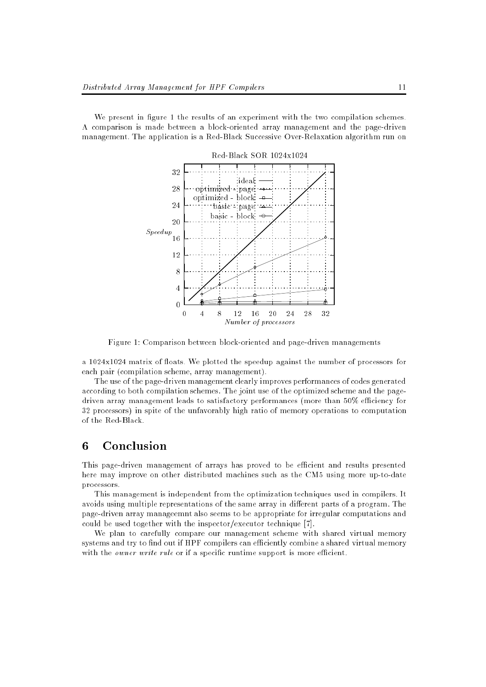We present in figure 1 the results of an experiment with the two compilation schemes. A comparison is made between a block-oriented array management and the page-driven management. The application is a Red-Black Successive Over-Relaxation algorithm run on



Figure 1: Comparison between block-oriented and page-driven managements

a 1024x1024 matrix of floats. We plotted the speedup against the number of processors for each pair (compilation scheme, array management).

The use of the page-driven management clearly improves performances of codes generated according to both compilation schemes. The joint use of the optimized scheme and the pagedriven array management leads to satisfactory performances (more than 50% efficiency for 32 processors) in spite of the unfavorably high ratio of memory operations to computation of the Red-Black.

#### 6 Conclusion

This page-driven management of arrays has proved to be efficient and results presented here may improve on other distributed machines such as the CM5 using more up-to-date processors.

This management is independent from the optimization techniques used in compilers. It avoids using multiple representations of the same array in different parts of a program. The page-driven array manageemnt also seems to be appropriate for irregular computations and could be used together with the inspector/executor technique [7].

We plan to carefully compare our management scheme with shared virtual memory systems and try to find out if HPF compilers can efficiently combine a shared virtual memory with the *owner write rule* or if a specific runtime support is more efficient.